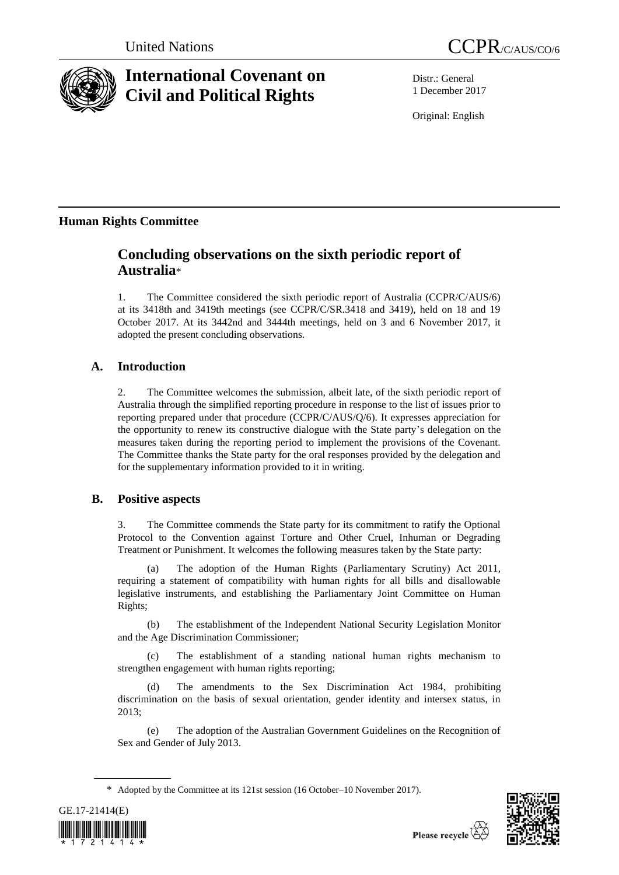

# **International Covenant on Civil and Political Rights**

Distr.: General 1 December 2017

Original: English

## **Human Rights Committee**

## **Concluding observations on the sixth periodic report of Australia**\*

1. The Committee considered the sixth periodic report of Australia (CCPR/C/AUS/6) at its 3418th and 3419th meetings (see CCPR/C/SR.3418 and 3419), held on 18 and 19 October 2017. At its 3442nd and 3444th meetings, held on 3 and 6 November 2017, it adopted the present concluding observations.

## **A. Introduction**

2. The Committee welcomes the submission, albeit late, of the sixth periodic report of Australia through the simplified reporting procedure in response to the list of issues prior to reporting prepared under that procedure (CCPR/C/AUS/Q/6). It expresses appreciation for the opportunity to renew its constructive dialogue with the State party's delegation on the measures taken during the reporting period to implement the provisions of the Covenant. The Committee thanks the State party for the oral responses provided by the delegation and for the supplementary information provided to it in writing.

## **B. Positive aspects**

3. The Committee commends the State party for its commitment to ratify the Optional Protocol to the Convention against Torture and Other Cruel, Inhuman or Degrading Treatment or Punishment. It welcomes the following measures taken by the State party:

The adoption of the Human Rights (Parliamentary Scrutiny) Act 2011, requiring a statement of compatibility with human rights for all bills and disallowable legislative instruments, and establishing the Parliamentary Joint Committee on Human Rights;

(b) The establishment of the Independent National Security Legislation Monitor and the Age Discrimination Commissioner;

(c) The establishment of a standing national human rights mechanism to strengthen engagement with human rights reporting;

(d) The amendments to the Sex Discrimination Act 1984, prohibiting discrimination on the basis of sexual orientation, gender identity and intersex status, in 2013;

(e) The adoption of the Australian Government Guidelines on the Recognition of Sex and Gender of July 2013.

<sup>\*</sup> Adopted by the Committee at its 121st session (16 October–10 November 2017).



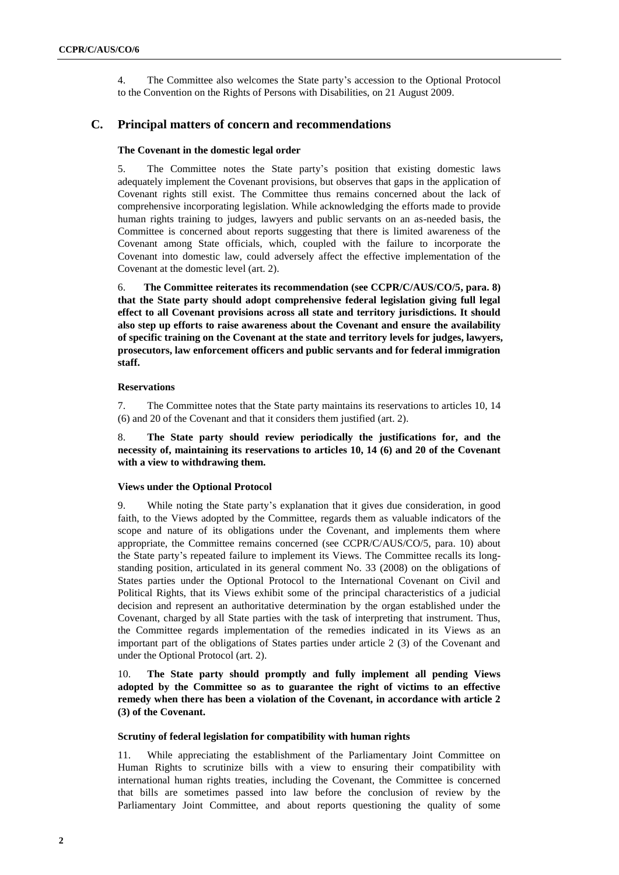4. The Committee also welcomes the State party's accession to the Optional Protocol to the Convention on the Rights of Persons with Disabilities, on 21 August 2009.

## **C. Principal matters of concern and recommendations**

#### **The Covenant in the domestic legal order**

5. The Committee notes the State party's position that existing domestic laws adequately implement the Covenant provisions, but observes that gaps in the application of Covenant rights still exist. The Committee thus remains concerned about the lack of comprehensive incorporating legislation. While acknowledging the efforts made to provide human rights training to judges, lawyers and public servants on an as-needed basis, the Committee is concerned about reports suggesting that there is limited awareness of the Covenant among State officials, which, coupled with the failure to incorporate the Covenant into domestic law, could adversely affect the effective implementation of the Covenant at the domestic level (art. 2).

6. **The Committee reiterates its recommendation (see CCPR/C/AUS/CO/5, para. 8) that the State party should adopt comprehensive federal legislation giving full legal effect to all Covenant provisions across all state and territory jurisdictions. It should also step up efforts to raise awareness about the Covenant and ensure the availability of specific training on the Covenant at the state and territory levels for judges, lawyers, prosecutors, law enforcement officers and public servants and for federal immigration staff.**

#### **Reservations**

7. The Committee notes that the State party maintains its reservations to articles 10, 14 (6) and 20 of the Covenant and that it considers them justified (art. 2).

8. **The State party should review periodically the justifications for, and the necessity of, maintaining its reservations to articles 10, 14 (6) and 20 of the Covenant with a view to withdrawing them.**

### **Views under the Optional Protocol**

9. While noting the State party's explanation that it gives due consideration, in good faith, to the Views adopted by the Committee, regards them as valuable indicators of the scope and nature of its obligations under the Covenant, and implements them where appropriate, the Committee remains concerned (see CCPR/C/AUS/CO/5, para. 10) about the State party's repeated failure to implement its Views. The Committee recalls its longstanding position, articulated in its general comment No. 33 (2008) on the obligations of States parties under the Optional Protocol to the International Covenant on Civil and Political Rights, that its Views exhibit some of the principal characteristics of a judicial decision and represent an authoritative determination by the organ established under the Covenant, charged by all State parties with the task of interpreting that instrument. Thus, the Committee regards implementation of the remedies indicated in its Views as an important part of the obligations of States parties under article 2 (3) of the Covenant and under the Optional Protocol (art. 2).

10. **The State party should promptly and fully implement all pending Views adopted by the Committee so as to guarantee the right of victims to an effective remedy when there has been a violation of the Covenant, in accordance with article 2 (3) of the Covenant.**

#### **Scrutiny of federal legislation for compatibility with human rights**

11. While appreciating the establishment of the Parliamentary Joint Committee on Human Rights to scrutinize bills with a view to ensuring their compatibility with international human rights treaties, including the Covenant, the Committee is concerned that bills are sometimes passed into law before the conclusion of review by the Parliamentary Joint Committee, and about reports questioning the quality of some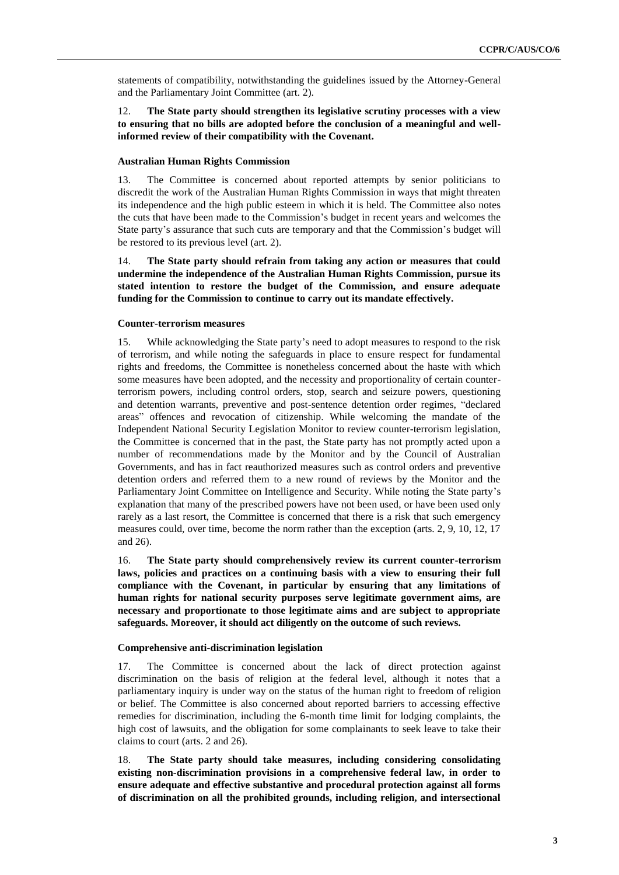statements of compatibility, notwithstanding the guidelines issued by the Attorney-General and the Parliamentary Joint Committee (art. 2).

12. **The State party should strengthen its legislative scrutiny processes with a view to ensuring that no bills are adopted before the conclusion of a meaningful and wellinformed review of their compatibility with the Covenant.** 

#### **Australian Human Rights Commission**

13. The Committee is concerned about reported attempts by senior politicians to discredit the work of the Australian Human Rights Commission in ways that might threaten its independence and the high public esteem in which it is held. The Committee also notes the cuts that have been made to the Commission's budget in recent years and welcomes the State party's assurance that such cuts are temporary and that the Commission's budget will be restored to its previous level (art. 2).

14. **The State party should refrain from taking any action or measures that could undermine the independence of the Australian Human Rights Commission, pursue its stated intention to restore the budget of the Commission, and ensure adequate funding for the Commission to continue to carry out its mandate effectively.**

#### **Counter-terrorism measures**

15. While acknowledging the State party's need to adopt measures to respond to the risk of terrorism, and while noting the safeguards in place to ensure respect for fundamental rights and freedoms, the Committee is nonetheless concerned about the haste with which some measures have been adopted, and the necessity and proportionality of certain counterterrorism powers, including control orders, stop, search and seizure powers, questioning and detention warrants, preventive and post-sentence detention order regimes, "declared areas" offences and revocation of citizenship. While welcoming the mandate of the Independent National Security Legislation Monitor to review counter-terrorism legislation, the Committee is concerned that in the past, the State party has not promptly acted upon a number of recommendations made by the Monitor and by the Council of Australian Governments, and has in fact reauthorized measures such as control orders and preventive detention orders and referred them to a new round of reviews by the Monitor and the Parliamentary Joint Committee on Intelligence and Security. While noting the State party's explanation that many of the prescribed powers have not been used, or have been used only rarely as a last resort, the Committee is concerned that there is a risk that such emergency measures could, over time, become the norm rather than the exception (arts. 2, 9, 10, 12, 17 and 26).

16. **The State party should comprehensively review its current counter-terrorism**  laws, policies and practices on a continuing basis with a view to ensuring their full **compliance with the Covenant, in particular by ensuring that any limitations of human rights for national security purposes serve legitimate government aims, are necessary and proportionate to those legitimate aims and are subject to appropriate safeguards. Moreover, it should act diligently on the outcome of such reviews.**

#### **Comprehensive anti-discrimination legislation**

17. The Committee is concerned about the lack of direct protection against discrimination on the basis of religion at the federal level, although it notes that a parliamentary inquiry is under way on the status of the human right to freedom of religion or belief. The Committee is also concerned about reported barriers to accessing effective remedies for discrimination, including the 6-month time limit for lodging complaints, the high cost of lawsuits, and the obligation for some complainants to seek leave to take their claims to court (arts. 2 and 26).

18. **The State party should take measures, including considering consolidating existing non-discrimination provisions in a comprehensive federal law, in order to ensure adequate and effective substantive and procedural protection against all forms of discrimination on all the prohibited grounds, including religion, and intersectional**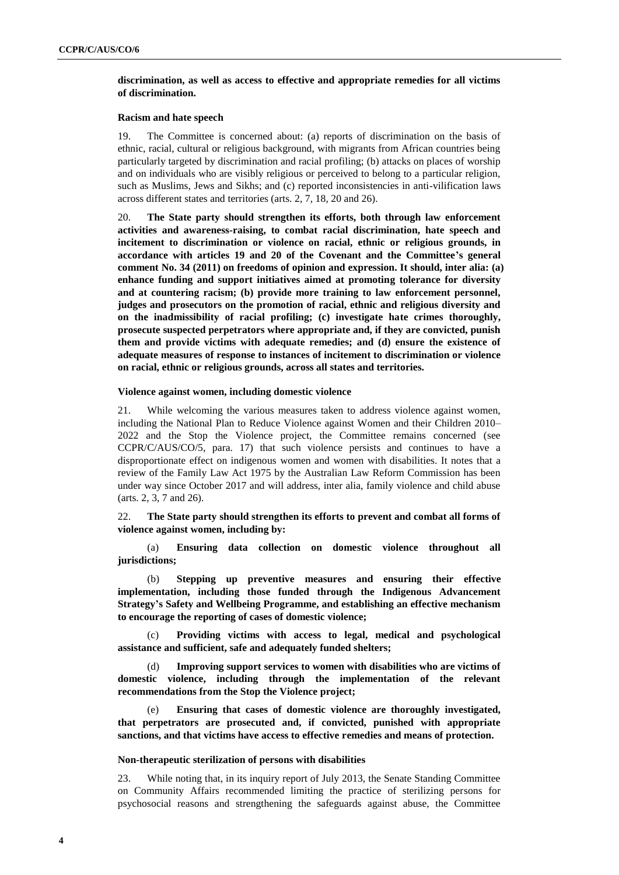## **discrimination, as well as access to effective and appropriate remedies for all victims of discrimination.**

#### **Racism and hate speech**

19. The Committee is concerned about: (a) reports of discrimination on the basis of ethnic, racial, cultural or religious background, with migrants from African countries being particularly targeted by discrimination and racial profiling; (b) attacks on places of worship and on individuals who are visibly religious or perceived to belong to a particular religion, such as Muslims, Jews and Sikhs; and (c) reported inconsistencies in anti-vilification laws across different states and territories (arts. 2, 7, 18, 20 and 26).

20. **The State party should strengthen its efforts, both through law enforcement activities and awareness-raising, to combat racial discrimination, hate speech and incitement to discrimination or violence on racial, ethnic or religious grounds, in accordance with articles 19 and 20 of the Covenant and the Committee's general comment No. 34 (2011) on freedoms of opinion and expression. It should, inter alia: (a) enhance funding and support initiatives aimed at promoting tolerance for diversity and at countering racism; (b) provide more training to law enforcement personnel, judges and prosecutors on the promotion of racial, ethnic and religious diversity and on the inadmissibility of racial profiling; (c) investigate hate crimes thoroughly, prosecute suspected perpetrators where appropriate and, if they are convicted, punish them and provide victims with adequate remedies; and (d) ensure the existence of adequate measures of response to instances of incitement to discrimination or violence on racial, ethnic or religious grounds, across all states and territories.**

### **Violence against women, including domestic violence**

21. While welcoming the various measures taken to address violence against women, including the National Plan to Reduce Violence against Women and their Children 2010– 2022 and the Stop the Violence project, the Committee remains concerned (see CCPR/C/AUS/CO/5, para. 17) that such violence persists and continues to have a disproportionate effect on indigenous women and women with disabilities. It notes that a review of the Family Law Act 1975 by the Australian Law Reform Commission has been under way since October 2017 and will address, inter alia, family violence and child abuse (arts. 2, 3, 7 and 26).

22. **The State party should strengthen its efforts to prevent and combat all forms of violence against women, including by:**

(a) **Ensuring data collection on domestic violence throughout all jurisdictions;**

(b) **Stepping up preventive measures and ensuring their effective implementation, including those funded through the Indigenous Advancement Strategy's Safety and Wellbeing Programme, and establishing an effective mechanism to encourage the reporting of cases of domestic violence;** 

(c) **Providing victims with access to legal, medical and psychological assistance and sufficient, safe and adequately funded shelters;**

(d) **Improving support services to women with disabilities who are victims of domestic violence, including through the implementation of the relevant recommendations from the Stop the Violence project;**

(e) **Ensuring that cases of domestic violence are thoroughly investigated, that perpetrators are prosecuted and, if convicted, punished with appropriate sanctions, and that victims have access to effective remedies and means of protection.**

#### **Non-therapeutic sterilization of persons with disabilities**

23. While noting that, in its inquiry report of July 2013, the Senate Standing Committee on Community Affairs recommended limiting the practice of sterilizing persons for psychosocial reasons and strengthening the safeguards against abuse, the Committee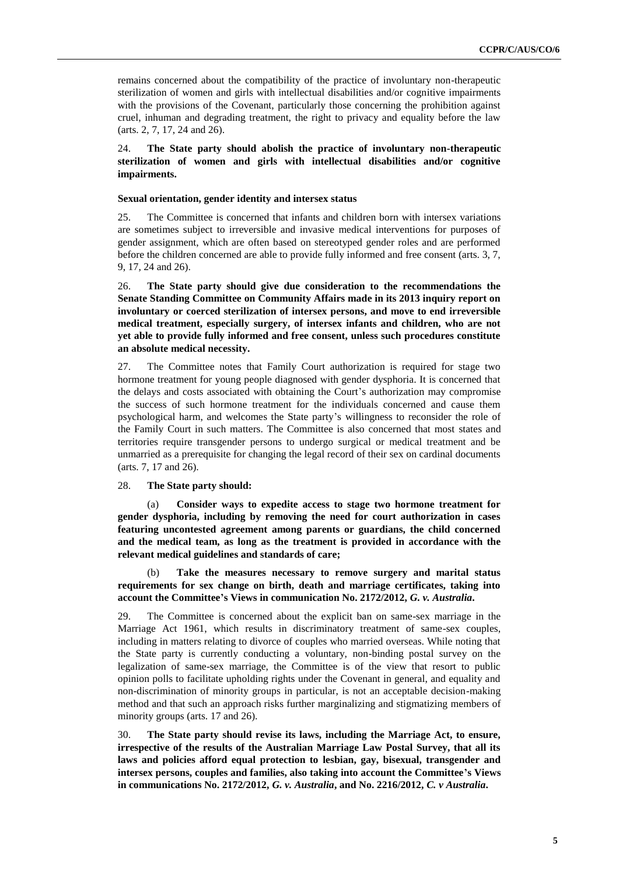remains concerned about the compatibility of the practice of involuntary non-therapeutic sterilization of women and girls with intellectual disabilities and/or cognitive impairments with the provisions of the Covenant, particularly those concerning the prohibition against cruel, inhuman and degrading treatment, the right to privacy and equality before the law (arts. 2, 7, 17, 24 and 26).

24. **The State party should abolish the practice of involuntary non-therapeutic sterilization of women and girls with intellectual disabilities and/or cognitive impairments.**

## **Sexual orientation, gender identity and intersex status**

25. The Committee is concerned that infants and children born with intersex variations are sometimes subject to irreversible and invasive medical interventions for purposes of gender assignment, which are often based on stereotyped gender roles and are performed before the children concerned are able to provide fully informed and free consent (arts. 3, 7, 9, 17, 24 and 26).

26. **The State party should give due consideration to the recommendations the Senate Standing Committee on Community Affairs made in its 2013 inquiry report on involuntary or coerced sterilization of intersex persons, and move to end irreversible medical treatment, especially surgery, of intersex infants and children, who are not yet able to provide fully informed and free consent, unless such procedures constitute an absolute medical necessity.**

27. The Committee notes that Family Court authorization is required for stage two hormone treatment for young people diagnosed with gender dysphoria. It is concerned that the delays and costs associated with obtaining the Court's authorization may compromise the success of such hormone treatment for the individuals concerned and cause them psychological harm, and welcomes the State party's willingness to reconsider the role of the Family Court in such matters. The Committee is also concerned that most states and territories require transgender persons to undergo surgical or medical treatment and be unmarried as a prerequisite for changing the legal record of their sex on cardinal documents (arts. 7, 17 and 26).

## 28. **The State party should:**

Consider ways to expedite access to stage two hormone treatment for **gender dysphoria, including by removing the need for court authorization in cases featuring uncontested agreement among parents or guardians, the child concerned and the medical team, as long as the treatment is provided in accordance with the relevant medical guidelines and standards of care;**

(b) **Take the measures necessary to remove surgery and marital status requirements for sex change on birth, death and marriage certificates, taking into account the Committee's Views in communication No. 2172/2012,** *G. v. Australia***.**

29. The Committee is concerned about the explicit ban on same-sex marriage in the Marriage Act 1961, which results in discriminatory treatment of same-sex couples, including in matters relating to divorce of couples who married overseas. While noting that the State party is currently conducting a voluntary, non-binding postal survey on the legalization of same-sex marriage, the Committee is of the view that resort to public opinion polls to facilitate upholding rights under the Covenant in general, and equality and non-discrimination of minority groups in particular, is not an acceptable decision-making method and that such an approach risks further marginalizing and stigmatizing members of minority groups (arts. 17 and 26).

30. **The State party should revise its laws, including the Marriage Act, to ensure, irrespective of the results of the Australian Marriage Law Postal Survey, that all its laws and policies afford equal protection to lesbian, gay, bisexual, transgender and intersex persons, couples and families, also taking into account the Committee's Views in communications No. 2172/2012,** *G. v. Australia***, and No. 2216/2012,** *C. v Australia***.**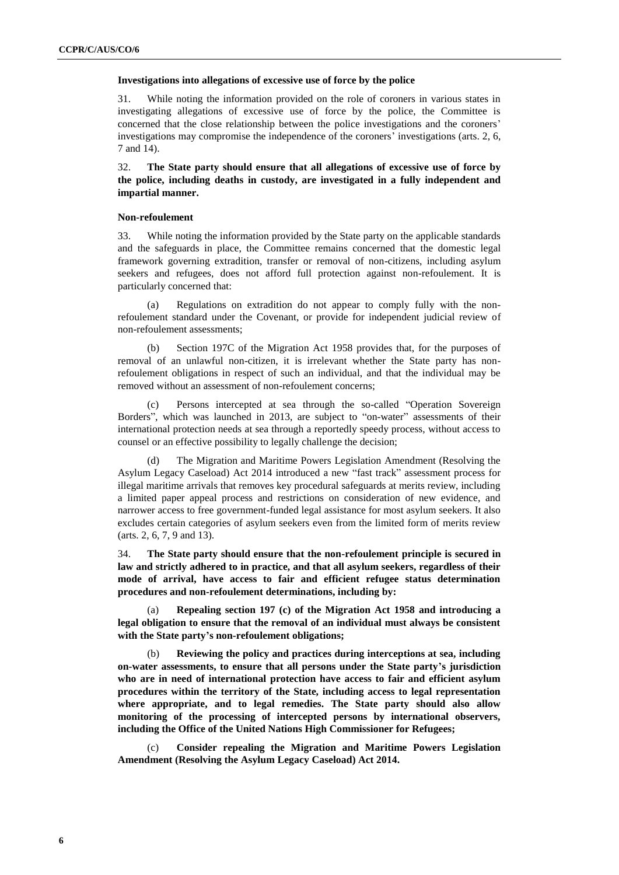#### **Investigations into allegations of excessive use of force by the police**

31. While noting the information provided on the role of coroners in various states in investigating allegations of excessive use of force by the police, the Committee is concerned that the close relationship between the police investigations and the coroners' investigations may compromise the independence of the coroners' investigations (arts. 2, 6, 7 and 14).

32. **The State party should ensure that all allegations of excessive use of force by the police, including deaths in custody, are investigated in a fully independent and impartial manner.**

#### **Non-refoulement**

33. While noting the information provided by the State party on the applicable standards and the safeguards in place, the Committee remains concerned that the domestic legal framework governing extradition, transfer or removal of non-citizens, including asylum seekers and refugees, does not afford full protection against non-refoulement. It is particularly concerned that:

(a) Regulations on extradition do not appear to comply fully with the nonrefoulement standard under the Covenant, or provide for independent judicial review of non-refoulement assessments;

(b) Section 197C of the Migration Act 1958 provides that, for the purposes of removal of an unlawful non-citizen, it is irrelevant whether the State party has nonrefoulement obligations in respect of such an individual, and that the individual may be removed without an assessment of non-refoulement concerns;

(c) Persons intercepted at sea through the so-called "Operation Sovereign Borders", which was launched in 2013, are subject to "on-water" assessments of their international protection needs at sea through a reportedly speedy process, without access to counsel or an effective possibility to legally challenge the decision;

The Migration and Maritime Powers Legislation Amendment (Resolving the Asylum Legacy Caseload) Act 2014 introduced a new "fast track" assessment process for illegal maritime arrivals that removes key procedural safeguards at merits review, including a limited paper appeal process and restrictions on consideration of new evidence, and narrower access to free government-funded legal assistance for most asylum seekers. It also excludes certain categories of asylum seekers even from the limited form of merits review (arts. 2, 6, 7, 9 and 13).

34. **The State party should ensure that the non-refoulement principle is secured in law and strictly adhered to in practice, and that all asylum seekers, regardless of their mode of arrival, have access to fair and efficient refugee status determination procedures and non-refoulement determinations, including by:**

(a) **Repealing section 197 (c) of the Migration Act 1958 and introducing a legal obligation to ensure that the removal of an individual must always be consistent with the State party's non-refoulement obligations;** 

(b) **Reviewing the policy and practices during interceptions at sea, including on-water assessments, to ensure that all persons under the State party's jurisdiction who are in need of international protection have access to fair and efficient asylum procedures within the territory of the State, including access to legal representation where appropriate, and to legal remedies. The State party should also allow monitoring of the processing of intercepted persons by international observers, including the Office of the United Nations High Commissioner for Refugees;**

(c) **Consider repealing the Migration and Maritime Powers Legislation Amendment (Resolving the Asylum Legacy Caseload) Act 2014.**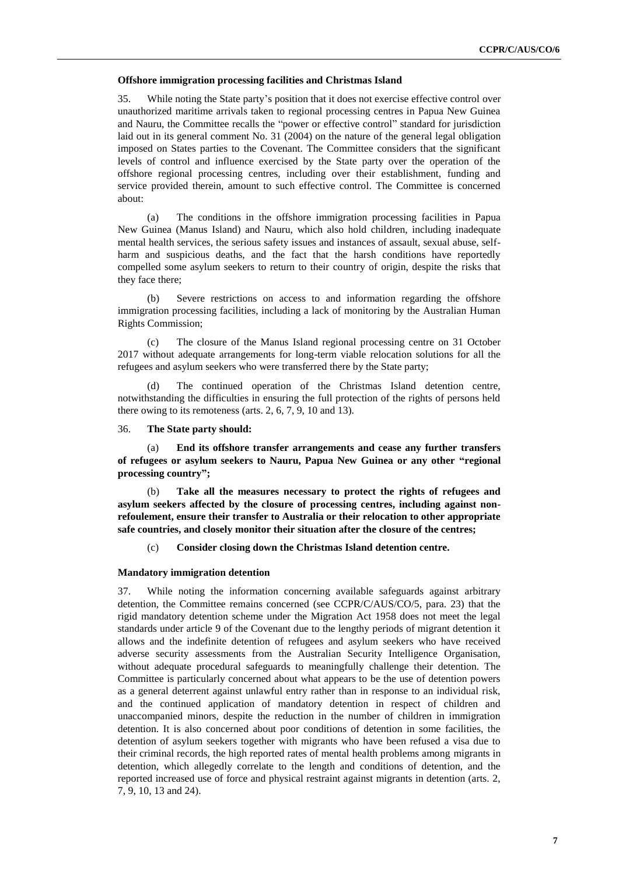#### **Offshore immigration processing facilities and Christmas Island**

35. While noting the State party's position that it does not exercise effective control over unauthorized maritime arrivals taken to regional processing centres in Papua New Guinea and Nauru, the Committee recalls the "power or effective control" standard for jurisdiction laid out in its general comment No. 31 (2004) on the nature of the general legal obligation imposed on States parties to the Covenant. The Committee considers that the significant levels of control and influence exercised by the State party over the operation of the offshore regional processing centres, including over their establishment, funding and service provided therein, amount to such effective control. The Committee is concerned about:

(a) The conditions in the offshore immigration processing facilities in Papua New Guinea (Manus Island) and Nauru, which also hold children, including inadequate mental health services, the serious safety issues and instances of assault, sexual abuse, selfharm and suspicious deaths, and the fact that the harsh conditions have reportedly compelled some asylum seekers to return to their country of origin, despite the risks that they face there;

(b) Severe restrictions on access to and information regarding the offshore immigration processing facilities, including a lack of monitoring by the Australian Human Rights Commission;

(c) The closure of the Manus Island regional processing centre on 31 October 2017 without adequate arrangements for long-term viable relocation solutions for all the refugees and asylum seekers who were transferred there by the State party;

(d) The continued operation of the Christmas Island detention centre, notwithstanding the difficulties in ensuring the full protection of the rights of persons held there owing to its remoteness (arts. 2, 6, 7, 9, 10 and 13).

## 36. **The State party should:**

(a) **End its offshore transfer arrangements and cease any further transfers of refugees or asylum seekers to Nauru, Papua New Guinea or any other "regional processing country";**

(b) **Take all the measures necessary to protect the rights of refugees and asylum seekers affected by the closure of processing centres, including against nonrefoulement, ensure their transfer to Australia or their relocation to other appropriate safe countries, and closely monitor their situation after the closure of the centres;** 

(c) **Consider closing down the Christmas Island detention centre.**

#### **Mandatory immigration detention**

37. While noting the information concerning available safeguards against arbitrary detention, the Committee remains concerned (see CCPR/C/AUS/CO/5, para. 23) that the rigid mandatory detention scheme under the Migration Act 1958 does not meet the legal standards under article 9 of the Covenant due to the lengthy periods of migrant detention it allows and the indefinite detention of refugees and asylum seekers who have received adverse security assessments from the Australian Security Intelligence Organisation, without adequate procedural safeguards to meaningfully challenge their detention. The Committee is particularly concerned about what appears to be the use of detention powers as a general deterrent against unlawful entry rather than in response to an individual risk, and the continued application of mandatory detention in respect of children and unaccompanied minors, despite the reduction in the number of children in immigration detention. It is also concerned about poor conditions of detention in some facilities, the detention of asylum seekers together with migrants who have been refused a visa due to their criminal records, the high reported rates of mental health problems among migrants in detention, which allegedly correlate to the length and conditions of detention, and the reported increased use of force and physical restraint against migrants in detention (arts. 2, 7, 9, 10, 13 and 24).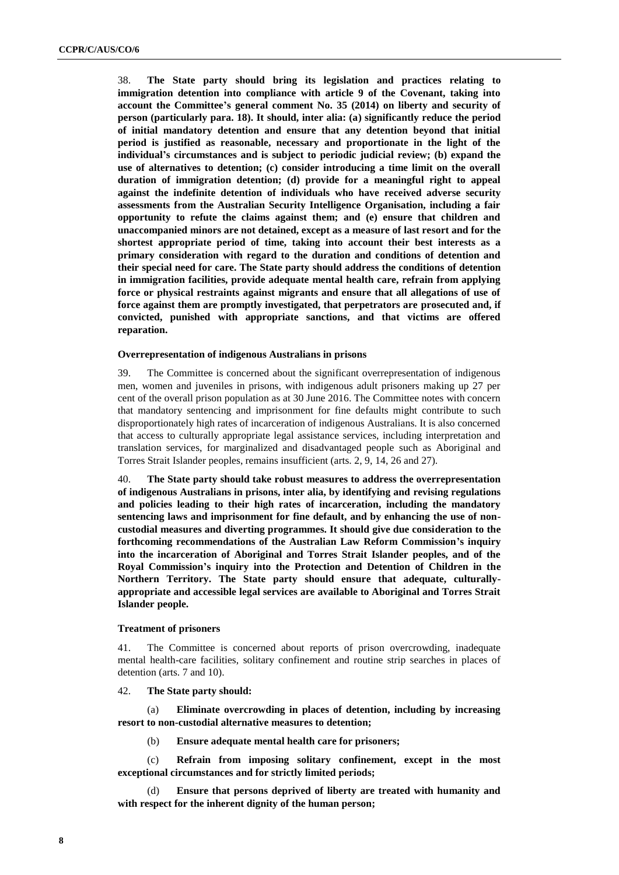38. **The State party should bring its legislation and practices relating to immigration detention into compliance with article 9 of the Covenant, taking into account the Committee's general comment No. 35 (2014) on liberty and security of person (particularly para. 18). It should, inter alia: (a) significantly reduce the period of initial mandatory detention and ensure that any detention beyond that initial period is justified as reasonable, necessary and proportionate in the light of the individual's circumstances and is subject to periodic judicial review; (b) expand the use of alternatives to detention; (c) consider introducing a time limit on the overall duration of immigration detention; (d) provide for a meaningful right to appeal against the indefinite detention of individuals who have received adverse security assessments from the Australian Security Intelligence Organisation, including a fair opportunity to refute the claims against them; and (e) ensure that children and unaccompanied minors are not detained, except as a measure of last resort and for the shortest appropriate period of time, taking into account their best interests as a primary consideration with regard to the duration and conditions of detention and their special need for care. The State party should address the conditions of detention in immigration facilities, provide adequate mental health care, refrain from applying force or physical restraints against migrants and ensure that all allegations of use of force against them are promptly investigated, that perpetrators are prosecuted and, if convicted, punished with appropriate sanctions, and that victims are offered reparation.**

#### **Overrepresentation of indigenous Australians in prisons**

39. The Committee is concerned about the significant overrepresentation of indigenous men, women and juveniles in prisons, with indigenous adult prisoners making up 27 per cent of the overall prison population as at 30 June 2016. The Committee notes with concern that mandatory sentencing and imprisonment for fine defaults might contribute to such disproportionately high rates of incarceration of indigenous Australians. It is also concerned that access to culturally appropriate legal assistance services, including interpretation and translation services, for marginalized and disadvantaged people such as Aboriginal and Torres Strait Islander peoples, remains insufficient (arts. 2, 9, 14, 26 and 27).

40. **The State party should take robust measures to address the overrepresentation of indigenous Australians in prisons, inter alia, by identifying and revising regulations and policies leading to their high rates of incarceration, including the mandatory sentencing laws and imprisonment for fine default, and by enhancing the use of noncustodial measures and diverting programmes. It should give due consideration to the forthcoming recommendations of the Australian Law Reform Commission's inquiry into the incarceration of Aboriginal and Torres Strait Islander peoples, and of the Royal Commission's inquiry into the Protection and Detention of Children in the Northern Territory. The State party should ensure that adequate, culturallyappropriate and accessible legal services are available to Aboriginal and Torres Strait Islander people.**

#### **Treatment of prisoners**

41. The Committee is concerned about reports of prison overcrowding, inadequate mental health-care facilities, solitary confinement and routine strip searches in places of detention (arts. 7 and 10).

#### 42. **The State party should:**

(a) **Eliminate overcrowding in places of detention, including by increasing resort to non-custodial alternative measures to detention;**

(b) **Ensure adequate mental health care for prisoners;**

(c) **Refrain from imposing solitary confinement, except in the most exceptional circumstances and for strictly limited periods;**

(d) **Ensure that persons deprived of liberty are treated with humanity and with respect for the inherent dignity of the human person;**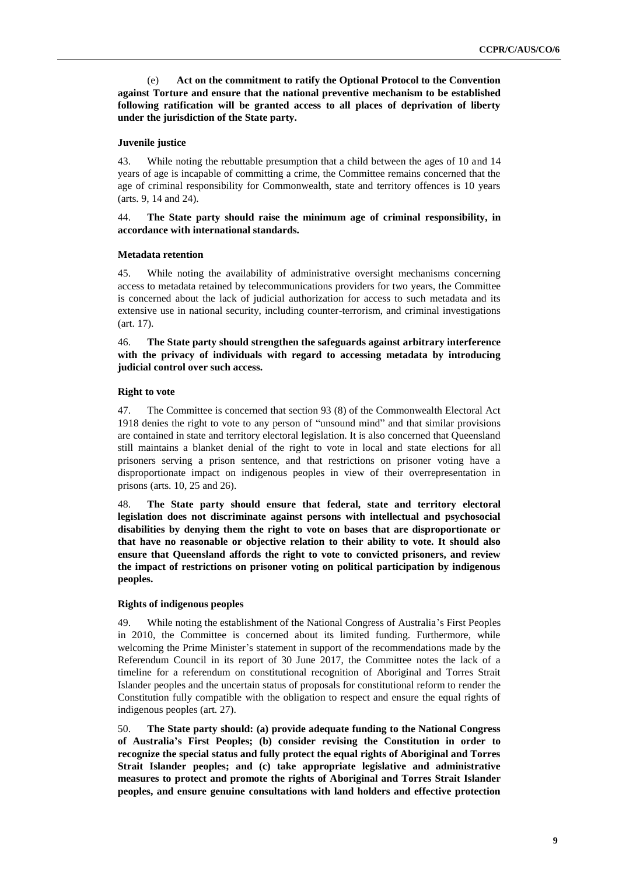(e) **Act on the commitment to ratify the Optional Protocol to the Convention against Torture and ensure that the national preventive mechanism to be established following ratification will be granted access to all places of deprivation of liberty under the jurisdiction of the State party.**

## **Juvenile justice**

43. While noting the rebuttable presumption that a child between the ages of 10 and 14 years of age is incapable of committing a crime, the Committee remains concerned that the age of criminal responsibility for Commonwealth, state and territory offences is 10 years (arts. 9, 14 and 24).

## 44. **The State party should raise the minimum age of criminal responsibility, in accordance with international standards.**

#### **Metadata retention**

45. While noting the availability of administrative oversight mechanisms concerning access to metadata retained by telecommunications providers for two years, the Committee is concerned about the lack of judicial authorization for access to such metadata and its extensive use in national security, including counter-terrorism, and criminal investigations (art. 17).

46. **The State party should strengthen the safeguards against arbitrary interference with the privacy of individuals with regard to accessing metadata by introducing judicial control over such access.** 

## **Right to vote**

47. The Committee is concerned that section 93 (8) of the Commonwealth Electoral Act 1918 denies the right to vote to any person of "unsound mind" and that similar provisions are contained in state and territory electoral legislation. It is also concerned that Queensland still maintains a blanket denial of the right to vote in local and state elections for all prisoners serving a prison sentence, and that restrictions on prisoner voting have a disproportionate impact on indigenous peoples in view of their overrepresentation in prisons (arts. 10, 25 and 26).

48. **The State party should ensure that federal, state and territory electoral legislation does not discriminate against persons with intellectual and psychosocial disabilities by denying them the right to vote on bases that are disproportionate or that have no reasonable or objective relation to their ability to vote. It should also ensure that Queensland affords the right to vote to convicted prisoners, and review the impact of restrictions on prisoner voting on political participation by indigenous peoples.**

#### **Rights of indigenous peoples**

49. While noting the establishment of the National Congress of Australia's First Peoples in 2010, the Committee is concerned about its limited funding. Furthermore, while welcoming the Prime Minister's statement in support of the recommendations made by the Referendum Council in its report of 30 June 2017, the Committee notes the lack of a timeline for a referendum on constitutional recognition of Aboriginal and Torres Strait Islander peoples and the uncertain status of proposals for constitutional reform to render the Constitution fully compatible with the obligation to respect and ensure the equal rights of indigenous peoples (art. 27).

50. **The State party should: (a) provide adequate funding to the National Congress of Australia's First Peoples; (b) consider revising the Constitution in order to recognize the special status and fully protect the equal rights of Aboriginal and Torres Strait Islander peoples; and (c) take appropriate legislative and administrative measures to protect and promote the rights of Aboriginal and Torres Strait Islander peoples, and ensure genuine consultations with land holders and effective protection**